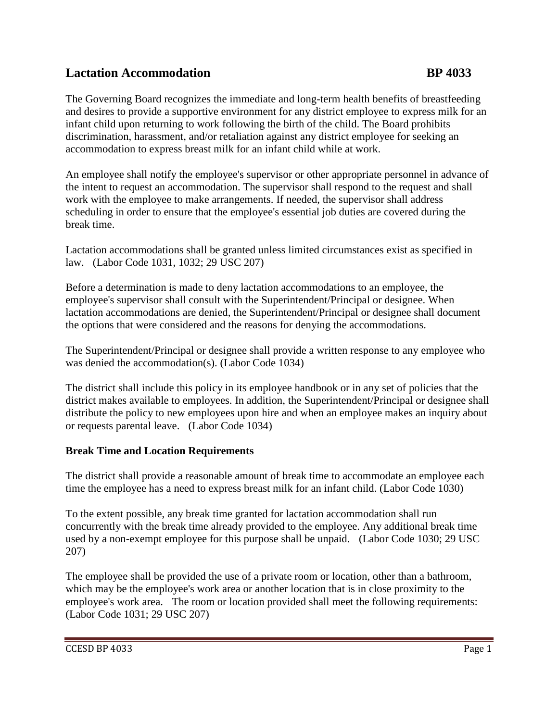## **Lactation Accommodation BP 4033**

The Governing Board recognizes the immediate and long-term health benefits of breastfeeding and desires to provide a supportive environment for any district employee to express milk for an infant child upon returning to work following the birth of the child. The Board prohibits discrimination, harassment, and/or retaliation against any district employee for seeking an accommodation to express breast milk for an infant child while at work.

An employee shall notify the employee's supervisor or other appropriate personnel in advance of the intent to request an accommodation. The supervisor shall respond to the request and shall work with the employee to make arrangements. If needed, the supervisor shall address scheduling in order to ensure that the employee's essential job duties are covered during the break time.

Lactation accommodations shall be granted unless limited circumstances exist as specified in law. (Labor Code 1031, 1032; 29 USC 207)

Before a determination is made to deny lactation accommodations to an employee, the employee's supervisor shall consult with the Superintendent/Principal or designee. When lactation accommodations are denied, the Superintendent/Principal or designee shall document the options that were considered and the reasons for denying the accommodations.

The Superintendent/Principal or designee shall provide a written response to any employee who was denied the accommodation(s). (Labor Code 1034)

The district shall include this policy in its employee handbook or in any set of policies that the district makes available to employees. In addition, the Superintendent/Principal or designee shall distribute the policy to new employees upon hire and when an employee makes an inquiry about or requests parental leave. (Labor Code 1034)

## **Break Time and Location Requirements**

The district shall provide a reasonable amount of break time to accommodate an employee each time the employee has a need to express breast milk for an infant child. (Labor Code 1030)

To the extent possible, any break time granted for lactation accommodation shall run concurrently with the break time already provided to the employee. Any additional break time used by a non-exempt employee for this purpose shall be unpaid. (Labor Code 1030; 29 USC 207)

The employee shall be provided the use of a private room or location, other than a bathroom, which may be the employee's work area or another location that is in close proximity to the employee's work area. The room or location provided shall meet the following requirements: (Labor Code 1031; 29 USC 207)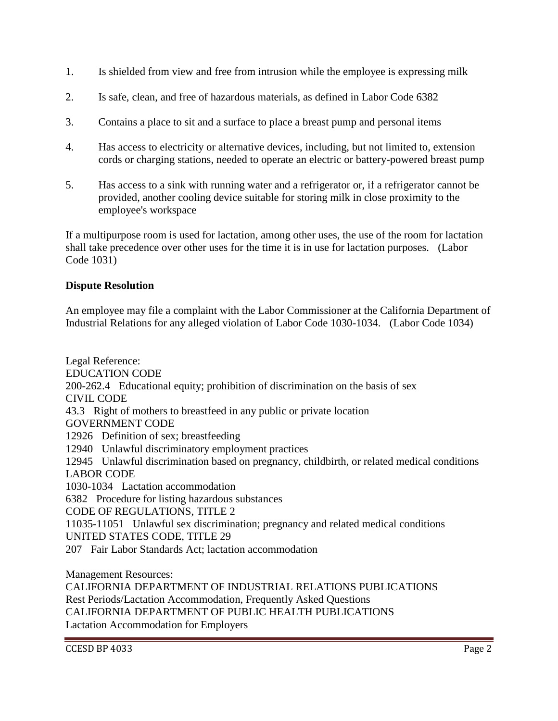- 1. Is shielded from view and free from intrusion while the employee is expressing milk
- 2. Is safe, clean, and free of hazardous materials, as defined in Labor Code 6382
- 3. Contains a place to sit and a surface to place a breast pump and personal items
- 4. Has access to electricity or alternative devices, including, but not limited to, extension cords or charging stations, needed to operate an electric or battery-powered breast pump
- 5. Has access to a sink with running water and a refrigerator or, if a refrigerator cannot be provided, another cooling device suitable for storing milk in close proximity to the employee's workspace

If a multipurpose room is used for lactation, among other uses, the use of the room for lactation shall take precedence over other uses for the time it is in use for lactation purposes. (Labor Code 1031)

## **Dispute Resolution**

An employee may file a complaint with the Labor Commissioner at the California Department of Industrial Relations for any alleged violation of Labor Code 1030-1034. (Labor Code 1034)

Legal Reference: EDUCATION CODE 200-262.4 Educational equity; prohibition of discrimination on the basis of sex CIVIL CODE 43.3 Right of mothers to breastfeed in any public or private location GOVERNMENT CODE 12926 Definition of sex; breastfeeding 12940 Unlawful discriminatory employment practices 12945 Unlawful discrimination based on pregnancy, childbirth, or related medical conditions LABOR CODE 1030-1034 Lactation accommodation 6382 Procedure for listing hazardous substances CODE OF REGULATIONS, TITLE 2 11035-11051 Unlawful sex discrimination; pregnancy and related medical conditions UNITED STATES CODE, TITLE 29 207 Fair Labor Standards Act; lactation accommodation

Management Resources:

CALIFORNIA DEPARTMENT OF INDUSTRIAL RELATIONS PUBLICATIONS Rest Periods/Lactation Accommodation, Frequently Asked Questions CALIFORNIA DEPARTMENT OF PUBLIC HEALTH PUBLICATIONS Lactation Accommodation for Employers